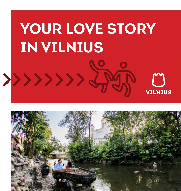

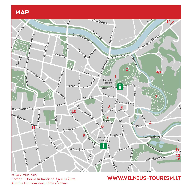**MAP** 



© Go Vilnius 2019 Photos - Monika Krilavičienė, Saulius Žiūra. Audrius Dzimidavičius, Tomas Šimkus

## WWW.VILNIUS-TOURISM.LT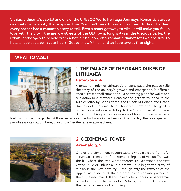Vilnius, Lithuania's capital and one of the UNESCO World Heritage Journeys' Romantic Europe destinations, is a city that inspires love. You don't have to search too hard to find it either: every corner has a romantic story to tell. Even a short getaway to Vilnius will make you fall in love with the city - the narrow streets of the Old Town, long walks in the luscious parks, the urban landscapes to behold from a hot-air balloon, or a romantic dinner for two are sure to hold a special place in your heart. Get to know Vilnius and let it be love at first sight.

## **WHAT TO VISIT**



## **1 THE PAI ACE OF THE GRAND DUKES OF I TTHIIANTA**

#### Katedros a 4

A great reminder of Lithuania's ancient past, the palace tells the story of the country's growth and emergence. It offers a special treat for all romantics - a charming place for walks and relaxation in a restored Renaissance garden founded in the 16th century by Bona Sforca, the Queen of Poland and Grand Duchess of Lithuania. A few hundred years ago, the garden probably served as a backdrop to the Grand Duke of Lithuania Sigismund II Augustus confessions of love to his wife Barbara

Radziwiłł. Today, the garden still serves as a refuge for lovers in the heart of the city. Myrtles, oranges, and paradise apples bloom here, creating a Mediterranean atmosphere.



# **2 GEDIMINAS' TOWER**

Arsenalo q. 5

One of the city's most recognisable symbols visible from afar serves as a reminder of the romantic legend of Vilnius. This was the hill where the Iron Wolf appeared to Gediminas, the first Grand Duke of Lithuania, in a dream. Thus began the story of Vilnius in the 14th century. Although only the remains of the Upper Castle still exist, the restored tower is an integral part of the city. Gediminas' Hill and Tower offer impressive panoramas of the Old Town - the red roofs of Vilnius, the church towers and the narrow streets look stunning.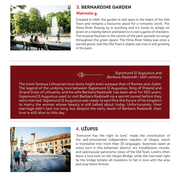

## **3. BERNARDINE GARDEN**

#### Maironio g.

Created in 1469, the garden is still open in the heart of the Old Town and remains a favourite place for a romantic stroll. The Vilnia River flowing by is soothing and it's lovely to simply sit down on a nearby bench and listen to it over a game of checkers. The musical fountain in the centre of the park spreads its songs throughout the green space. The Vilnia River Valley was once a sacred grove, and the Old Town's oldest oak tree is still growing in the park.



#### Sigismund II Augustus and Barbara Radziwiłł | 16th century

The most famous Lithuanian love story might even surpass that of Romeo and Juliet. The legend of the undying love between Sigismund II Augustus, King of Poland and Grand Duke of Lithuania, and his wife Barbara Radziwiłł, has been alive for 500 vears. Sigismund II Augustus used to visit Barbara Radziwiłł via a secret tunnel before they were married. Sigismund II Augustus was ready to sacrifice the future of his kingdom to marry the woman whose beauty is still talked about today. Unfortunately, their marriage didn't last too long, but despite the early death of Barbara Radziwitt, their love is still alive to this day.



# 4. UŽUPIS

"Everyone has the right to love," reads the constitution of the self-proclaimed independent republic of Užupis, which is translated into more than 25 languages. Surprises await at every turn in this bohemian district: art installations, murals, and spectacular panoramic views of the Old Town. Lovers often leave a love lock on the Užupis Bridge, while the mermaid right by the bridge tempts all travellers to fall in love with the area and stay there forever.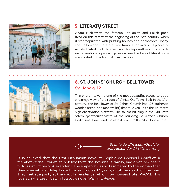

## **5. LITERATU STREET**

Adam Mickiewicz, the famous Lithuanian and Polish poet. lived on this street at the beginning of the 19th century, when it was populated with printing houses and bookstores. Today, the walls along the street are famous for over 200 pieces of art dedicated to Lithuanian and foreign authors. It's a truly unconventional open-air gallery where the love of literature is manifested in the form of creative tiles



## **6. ST. JOHNS' CHURCH BELL TOWER** Šv. Jono a. 12

This church tower is one of the most beautiful places to get a bird's-eve view of the roofs of Vilnius Old Town. Built in the 17th century, the Bell Tower of St. Johns' Church has 193 authentic wooden steps (or a modern lift) that take you up to the 45-metre high observation platform. The tallest building in the Old Town offers spectacular views of the stunning St. Anne's Church, Gediminas' Tower, and the oldest street in the city - Pilies Street.



Sophie de Choiseul-Gouffier and Alexander I | 19th century

It is believed that the first Lithuanian novelist. Sophie de Choiseul-Gouffier, a member of the Lithuanian nobility from the Tyzenhaus family, had given her heart to Russian Emperor Alexander I. The emperor was so fascinated by the woman that their special friendship lasted for as long as 13 years, until the death of the Tsar. They met at a party at the Radvila residence, which now houses Hotel PACAI. This love story is described in Tolstoy's novel War and Peace.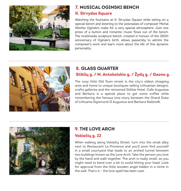

## **7 MUSTCAL OGINSKI RENCH**

#### **K. Sirvydas Square**

Watching the fountains at K. Sirvydas Square while sitting on a special bench and listening to the polonaises of composer Michal Kleofas Oginski's make for a very special atmosphere. Just one press of a button and romantic music flows out of the bench. The multimedia sculpture-bench, created in honour of the 250th anniversary of Oginski's birth, allows passersby to admire the composer's work and learn more about the life of this dynamic personality.



## **8. GLASS OUARTER** Stiklių g. / M. Antokolskio g. / Žydų g. / Gaono g.

The cosy little Old Town street is the city's oldest shopping area and home to unique boutiques selling Lithuanian designs, crafts galleries and the renowned Stikliai Hotel. Cafe Augustas and Barbora is a special place to get some coffee while remembering the famous love story between the Grand Duke of Lithuania Sigismund II Augustus and Barbara Radziwiłł.



# **9. THE LOVE ARCH**

## Vokiečių g. 22

When walking along Vokiečių Street, turn into the small alley next to Restaurant La Provence and you'll soon find yourself in a small courtyard that leads to an arched tunnel between two buildings known as the Love Arch. Take the person you love by the hand and walk together. The arch is really small, so you might need to bend over a bit to avoid hitting your head. Look for approval from the little wooden angel hidden in a niche in the wall. That's it - the love spell has been cast.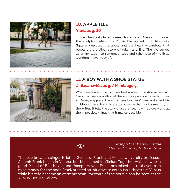

## **10. APPLE TILE** Vilniaus q. 30

This is the ideal place to meet for a date. Gitenis Umbrasas, the sculptor behind the Apple Tile placed in S. Moniuška Square, depicted the apple and the heart - symbols that recount the biblical story of Adam and Eve. The tile serves as an invitation to remember love and take note of the little wonders in everyday life.



## **11. A BOY WITH A SHOE STATUE**

### J. Basanavičiaus g. / Mindaugo g.

What deeds are done for love? Perhaps eating a shoe as Romain Gary, the famous author of the autobiographical novel Promise at Dawn, suggests. The writer was born in Vilnius and spent his childhood here, but this statue is more than just a memory of the writer. It tells the story of a pure feeling - first love - and all the impossible things that it makes possible.



Joseph Frank and Kristina Gerhardi Frank | 18th century

The love between singer Kristina Gerhardi Frank and Vilnius University professor Joseph Frank began in Vienna, but blossomed in Vilnius. Together with his wife, a good friend of Beethoven and Joseph Haydn. Frank organised cultural events to raise money for the poor. Frank started an initiative to establish a theatre in Vilnius while his wife became an entrepreneur. Portraits of the couple can be seen at the Vilnius Picture Gallery.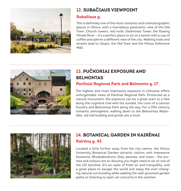

# **12. SUBAČIAUS VIEWPOINT**

#### Subačiaus q.

This is definitely one of the most romantic and cinematographic places in Vilnius, with a marvellous panoramic view of the Old Town. Church towers, red roofs, Gediminas' Tower, the flowing Vilnelė River - it's a perfect place to sit on a bench with a cup of coffee and admire a different view of the city. Walking trails and streets lead to Užupis, the Old Town and the Vilnius Defensive Wall



# **13 PHČKORIAI EXPOSURE AND BELMONTAS**

## Pavilniai Regional Park and Belmonto g. 17

The highest and most impressive exposure in Lithuania offers unforgettable views of Pavilniai Regional Park. Protected as a natural monument, the exposure can be a great start to a hike along the cognitive trail with the sundial, the ruins of a cannon foundry and Belmontas Park along the way. For a 19th century romantic atmosphere, walking down to the Belmontas Waterfalls, old mill building and ponds are a must.



# 14 ROTANICAL GARDEN IN KAIRENAT Kairėnu g. 43

Located a little further away from the city centre, the Vilnius University Botanical Garden attracts visitors with impressive blossoms. Rhododendrons, lilies, peonies, and roses - the aromas and colours are so dizzying you might need to sit on one of the 132 benches. It's an oasis of fresh air and tranguillity, and a great place to escape the world and enjoy the ever-changing natural surrounding while walking the well-groomed garden paths or listening to open-air concerts in the summer.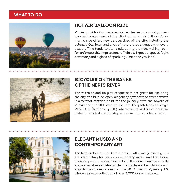## **WHAT TO DO**



## HOT ATR RALLOON RTDE

Vilnius provides its quests with an exclusive opportunity to enjoy spectacular views of the city from a hot air balloon. A romantic ride offers new perspectives of the city, including the splendid Old Town and a lot of nature that changes with every season. Time tends to stand still during the ride, making room for unforgettable impressions of Vilnius. Expect a special flight ceremony and a glass of sparkling wine once you land.



## **BICYCLES ON THE BANKS** OF THE NERTS RIVER

The riverside and its picturesque path are great for exploring the city on a bike. An open-air gallery by renowned street artists is a perfect starting point for the journey, with the towers of Vilnius and the Old Town on the left. The path leads to Vingis Park (M. K. Čiurlionio g. 100), where nature and fresh forest air make for an ideal spot to stop and relax with a coffee in hand.



## **ELEGANT MUSIC AND CONTEMPORARY ART**

The high arches of the Church of St. Catherine (Vilniaus g. 30) are very fitting for both contemporary music and traditional classical performances. Concerts fill the air with unique sounds and a special mood. Meanwhile, the modern art exhibitions and abundance of events await at the MO Museum (Pylimo g. 17). where a private collection of over 4,000 works is stored.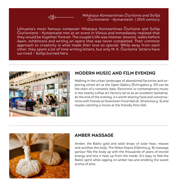

Mikalojus Konstantinas Čiurlionis and Sofija Čiurlionienė - Kymantaitė | 20th century

Lithuania's most famous composer Mikalojus Konstantinas Čiurlionis and Sofija Čiurlionienė - Kymantaitė met at an event in Vilnius and immediately realised that they would be together forever. The couple's life was intense: lessons, walks before dawn, exhibitions and writing an opera that was never completed. Their common approach to creativity is what made their love so special. While away from each other, they spent a lot of time writing letters, but only M. K. Ciurlionis' letters have survived - Sofija burned hers.



## MODERN MUSIC AND FILM EVENING

Walking in the urban landscape of abandoned factories and exploring street art at the Open Gallery (Švitrigailos g. 29) can be the start of a romantic date. Electronic or contemporary music in the nearby Loftas art factory serve as an excellent backdrop. At the end of the evening, it's worth sharing food and conversations with friends at Downtown Food Hall (A. Smetonos g. 5) and maybe catching a movie at the friendly Kino Deli.



### **AMBER MASSAGE**

Amber, the Baltic gold and solid drops of solar heat, relaxes and soothes the body. The Nidos Kopos (Odminiu g. 8) massage parlour fills the body up with the thousands of years of stored energy and lets it heat up from the inside. It's easy to feel the Baltic spirit while sipping on amber tea and smelling the sweet aroma of pine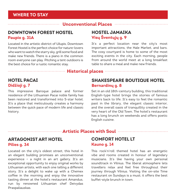### **WHERE TO STAY**

#### **Unconventional Places ••**

### **DOWNTOWN FOREST HOSTEL** Paupio g. 31A

Located in the artistic district of Užupis, Downtown Forest Hostel is the perfect choice for nature-lovers who want to watch the starry sky, grill some food and make new friends. There is a piano in the common room everyone can play. Pitching a tent outdoors is the best choice for a rustic romantic stay.

. . . . . . . . . . . . .

### **HOSTEL JAMAIKA** Visu Šventuju a. 9

It's a perfect location near the city's most important attractions, the Hale Market, and bars. The cosy courtvard is home to some of the most exciting events in the city. Each morning, people from around the world meet at a long breakfast table to share a meal and make new friends.

#### 

### **HOTEL PACAI** Didžioji a. 7

This impressive Baroque palace and former residence of the Lithuanian Pacai noble family has been restored and transformed into 5-star hotel. It's a place that meticulously creates a harmony between the quick pace of modern life and classic history.

## **SHAKESPEARE BOUTIOUE HOTEL** Bernardiny g. 8

Set in an old 18th-century building, this traditional English-type hotel brings the stories of famous writers back to life. It's easy to feel the romantic past in the library, the elegant classic interior, and the overall oasis of tranquillity created in the very heart of the Old Town. The hotel's restaurant has a long brunch on weekends and offers poetic English cuisine.

#### 

## **ARTAGONIST ART HOTFL** Pilies a. 34

Located on the city's oldest street, this hotel in an elegant building promises an unconventional experience - a night in an art gallery. It's an exceptional opportunity to enjoy original works by Lithuanian artists, with each one telling a different story. It's a delight to wake up with a Chemex coffee in the morning and enjoy the innovative tasting dinner at the hotel's restaurant Amandus, run by renowned Lithuanian chef Deivydas Praspaliauskas.

## **COMFORT HOTEL LT** Kauno g. 14

This rock'n'roll themed hotel has an energetic vibe and rooms created in honour of legendary musicians. It's like having your own personal soundtrack in Vilnius. The liberal atmosphere lets travellers relax and feel free throughout their journey through Vilnius. Visiting the on-site Time restaurant on Sundays is a must; it offers the best buffet-style brunch in town.